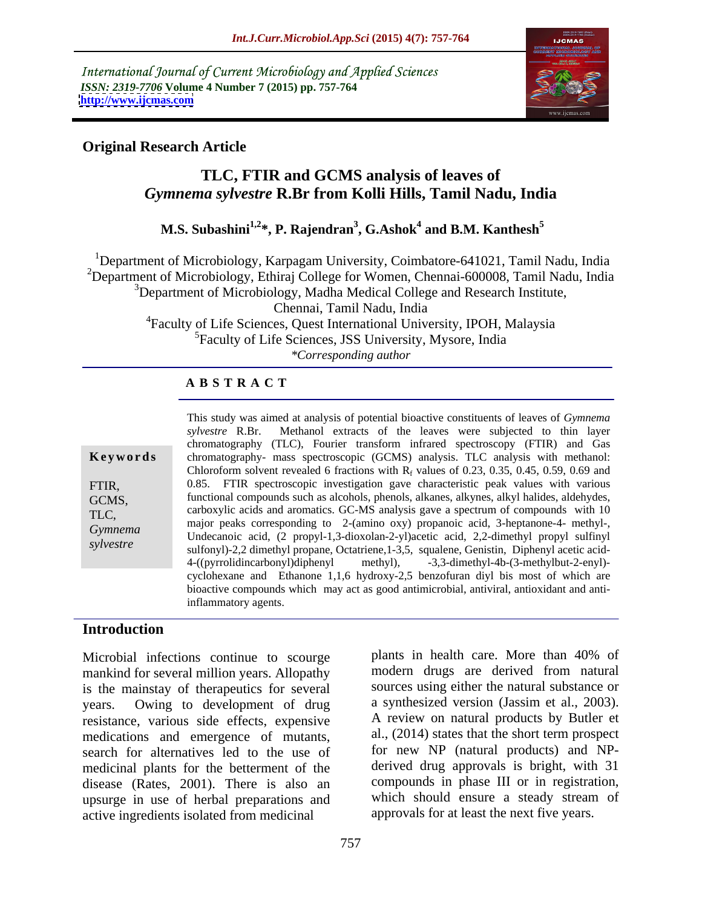International Journal of Current Microbiology and Applied Sciences *ISSN: 2319-7706* **Volume 4 Number 7 (2015) pp. 757-764 <http://www.ijcmas.com>**



## **Original Research Article**

# **TLC, FTIR and GCMS analysis of leaves of**  *Gymnema sylvestre* **R.Br from Kolli Hills, Tamil Nadu, India**

### $\mathbf{M.S.}$  Subashini $^{1,2}$ \*,  $\mathbf{P.}$  Rajendran $^{3}$ ,  $\mathbf{G.}$ Ashok $^{4}$  and  $\mathbf{B.M.}$  Kanthesh $^{5}$  **and B.M. Kanthesh<sup>5</sup>**

<sup>1</sup>Department of Microbiology, Karpagam University, Coimbatore-641021, Tamil Nadu, India <sup>2</sup>Department of Microbiology, Ethiraj College for Women, Chennai-600008, Tamil Nadu, India <sup>3</sup>Department of Microbiology, Madha Medical College and Research Institute, Chennai, Tamil Nadu, India

4Faculty of Life Sciences, Quest International University, IPOH, Malaysia 5Faculty of Life Sciences, JSS University, Mysore, India *\*Corresponding author*

### **A B S T R A C T**

| Keyword                                        |  |
|------------------------------------------------|--|
| FTIR,<br>GCMS,<br>TLC,<br>Gymnema<br>sylvestre |  |
|                                                |  |

This study was aimed at analysis of potential bioactive constituents of leaves of *Gymnema sylvestre* R.Br. Methanol extracts of the leaves were subjected to thin layer chromatography (TLC), Fourier transform infrared spectroscopy (FTIR) and Gas chromatography- mass spectroscopic (GCMS) analysis. TLC analysis with methanol: **Ke ywo rds** Chloroform solvent revealed 6 fractions with  $R_f$  values of 0.23, 0.35, 0.45, 0.59, 0.69 and 0.85. FTIR spectroscopic investigation gave characteristic peak values with various FTIR, functional compounds such as alcohols, phenols, alkanes, alkynes, alkyl halides, aldehydes, GCMS, TLC, carboxylic acids and aromatics. GC-MS analysis gave a spectrum of compounds with 10 major peaks corresponding to 2-(amino oxy) propanoic acid, 3-heptanone-4- methyl-, Undecanoic acid, (2 propyl-1,3-dioxolan-2-yl)acetic acid, 2,2-dimethyl propyl sulfinyl *Gymnema*  sulfonyl)-2,2 dimethyl propane, Octatriene, 1-3,5, squalene, Genistin, Diphenyl acetic acid-4-((pyrrolidincarbonyl)diphenyl methyl), -3,3-dimethyl-4b-(3-methylbut-2-enyl) cyclohexane and Ethanone 1,1,6 hydroxy-2,5 benzofuran diyl bis most of which are bioactive compounds which may act as good antimicrobial, antiviral, antioxidant and antiinflammatory agents.

### **Introduction**

Microbial infections continue to scourge mankind for several million years. Allopathy is the mainstay of therapeutics for several years. Owing to development of drug resistance, various side effects, expensive medications and emergence of mutants, search for alternatives led to the use of for new NP (natural products) and NP medicinal plants for the betterment of the disease (Rates, 2001). There is also an upsurge in use of herbal preparations and active ingredients isolated from medicinal

plants in health care. More than 40% of modern drugs are derived from natural sources using either the natural substance or a synthesized version (Jassim et al., 2003). A review on natural products by Butler et al., (2014) states that the short term prospect derived drug approvals is bright, with 31 compounds in phase III or in registration, which should ensure a steady stream of approvals for at least the next five years.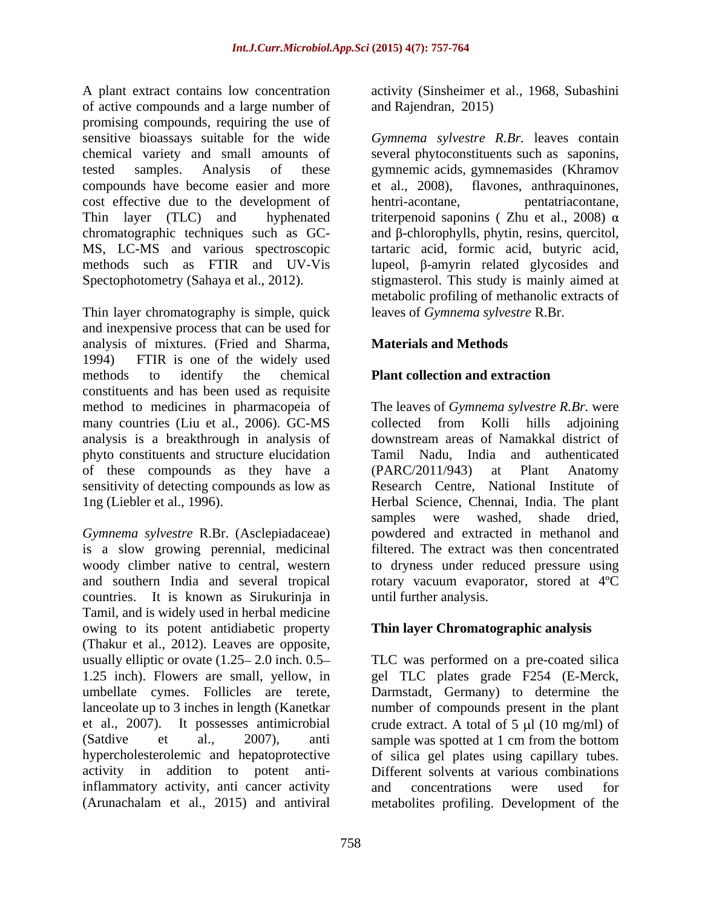A plant extract contains low concentration activity (Sinsheimer et al., 1968, Subashini of active compounds and a large number of promising compounds, requiring the use of sensitive bioassays suitable for the wide *Gymnema sylvestre R.Br.* leaves contain chemical variety and small amounts of several phytoconstituents such as saponins, tested samples. Analysis of these gymnemic acids, gymnemasides (Khramov compounds have become easier and more et al., 2008), cost effective due to the development of hentri-acontane, pentatriacontane, Thin layer (TLC) and hyphenated triterpenoid saponins ( Zhu et al., 2008)  $\alpha$ chromatographic techniques such as  $GC-$  and  $\beta$ -chlorophylls, phytin, resins, quercitol, MS, LC-MS and various spectroscopic tartaric acid, formic acid, butyric acid, methods such as  $FTIR$  and  $UV-Vis$  lupeol,  $\beta$ -amyrin related glycosides and Spectophotometry (Sahaya et al., 2012). stigmasterol. This study is mainly aimed at

Thin layer chromatography is simple, quick and inexpensive process that can be used for analysis of mixtures. (Fried and Sharma, 1994) FTIR is one of the widely used methods to identify the chemical **Plant collection and extraction** constituents and has been used as requisite method to medicines in pharmacopeia of The leaves of *Gymnema sylvestre R.Br.* were many countries (Liu et al., 2006). GC-MS collected from Kolli hills adjoining analysis is a breakthrough in analysis of phyto constituents and structure elucidation of these compounds as they have a (PARC/2011/943) at Plant Anatomy sensitivity of detecting compounds as low as 1ng (Liebler et al., 1996). Herbal Science, Chennai, India. The plant

*Gymnema sylvestre* R.Br. (Asclepiadaceae) is a slow growing perennial, medicinal filtered. The extract was then concentrated woody climber native to central, western to dryness under reduced pressure using and southern India and several tropical rotary vacuum evaporator, stored at 4ºC countries. It is known as Sirukurinja in Tamil, and is widely used in herbal medicine owing to its potent antidiabetic property (Thakur et al., 2012). Leaves are opposite, usually elliptic or ovate  $(1.25-2.0)$  inch. 0.5 TLC was performed on a pre-coated silica 1.25 inch). Flowers are small, yellow, in gel TLC plates grade F254 (E-Merck, umbellate cymes. Follicles are terete, lanceolate up to 3 inches in length (Kanetkar number of compounds present in the plant et al., 2007). It possesses antimicrobial crude extract. A total of 5  $\mu$ l (10 mg/ml) of (Satdive et al., 2007), anti sample was spotted at 1 cm from the bottom hypercholesterolemic and hepatoprotective activity in addition to potent anti-Different solvents at various combinations inflammatory activity, anti-cancer activity<br>
(Arunachalam et al., 2015) and antiviral activity<br>  $\frac{1}{2}$  metabolities profiling Development of the

and Rajendran, 2015)

flavones, anthraquinones, hentri-acontane, pentatriacontane, metabolic profiling of methanolic extracts of leaves of *Gymnema sylvestre* R.Br.

# **Materials and Methods**

# **Plant collection and extraction**

collected from Kolli hills adjoining downstream areas of Namakkal district of Tamil Nadu, India and authenticated (PARC/2011/943) at Plant Anatomy Research Centre, National Institute of samples were washed, shade dried, powdered and extracted in methanol and until further analysis.

# **Thin layer Chromatographic analysis**

(Arunachalam et al., 2015) and antiviral metabolites profiling. Development of theDarmstadt, Germany) to determine the of silica gel plates using capillary tubes. and concentrations were used for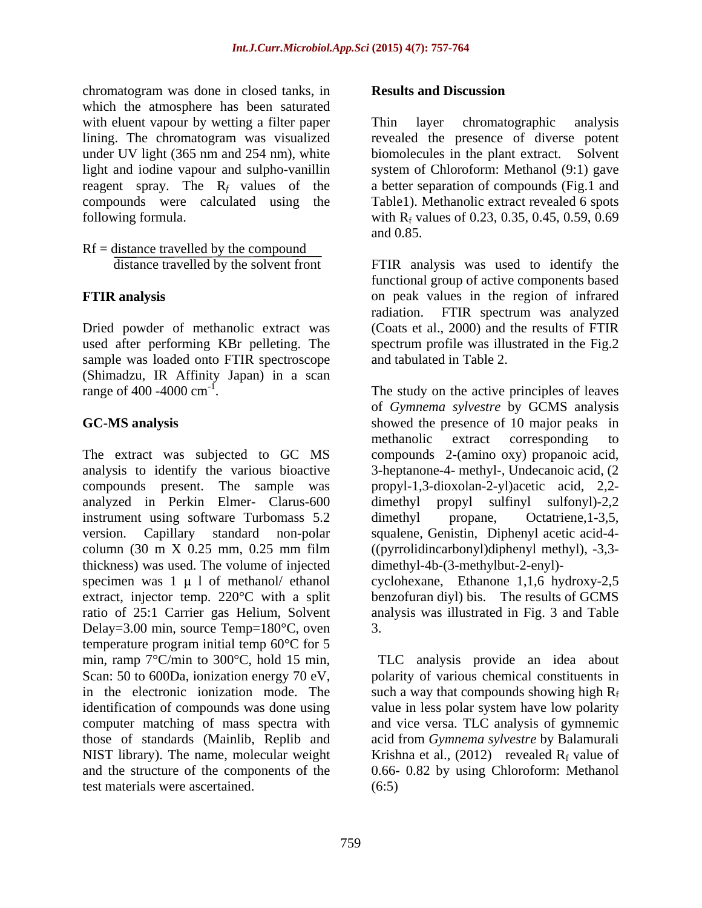chromatogram was done in closed tanks, in **Results and Discussion** which the atmosphere has been saturated with eluent vapour by wetting a filter paper Thin layer chromatographic analysis lining. The chromatogram was visualized revealed the presence of diverse potent under UV light (365 nm and 254 nm), white biomolecules in the plant extract. Solvent light and iodine vapour and sulpho-vanillin system of Chloroform: Methanol (9:1) gave reagent spray. The R*<sup>f</sup>* values of the a better separation of compounds (Fig.1 and compounds were calculated using the Table1). Methanolic extract revealed 6 spots

 $Rf = distance travelled by the compound$ 

Dried powder of methanolic extract was (Coats et al., 2000) and the results of FTIR used after performing KBr pelleting. The spectrum profile was illustrated in the Fig.2 sample was loaded onto FTIR spectroscope (Shimadzu, IR Affinity Japan) in a scan range of 400 -4000 cm<sup>-1</sup>. The study on the active principles of leaves

analyzed in Perkin Elmer- Clarus-600 instrument using software Turbomass 5.2 dimethyl propane, Octatriene, 1-3.5, thickness) was used. The volume of injected extract, injector temp. 220°C with a split Delay=3.00 min, source Temp=180°C, oven temperature program initial temp 60°C for 5 min, ramp 7°C/min to 300°C, hold 15 min, Scan: 50 to 600Da, ionization energy 70 eV, polarity of various chemical constituents in in the electronic ionization mode. The such a way that compounds showing high  $R_f$ identification of compounds was done using value in less polar system have low polarity computer matching of mass spectra with and vice versa. TLC analysis of gymnemic those of standards (Mainlib, Replib and acid from *Gymnema sylvestre* by Balamurali NIST library). The name, molecular weight  $\overline{K}$  Krishna et al., (2012) revealed  $R_f$  value of and the structure of the components of the 0.66- 0.82 by using Chloroform: Methanol test materials were ascertained.

### **Results and Discussion**

following formula.  $\text{with } R_f \text{ values of } 0.23, 0.35, 0.45, 0.59, 0.69$ Thin layer chromatographic analysis biomolecules in the plant extract. and 0.85.

 distance travelled by the solvent front FTIR analysis was used to identify the **FTIR analysis** on peak values in the region of infrared functional group of active components based radiation. FTIR spectrum was analyzed and tabulated in Table 2.

**GC-MS analysis** showed the presence of 10 major peaks in The extract was subjected to GC MS compounds 2-(amino oxy) propanoic acid, analysis to identify the various bioactive 3-heptanone-4- methyl-, Undecanoic acid, (2 compounds present. The sample was propyl-1,3-dioxolan-2-yl)acetic acid, 2,2 version. Capillary standard non-polar squalene, Genistin, Diphenyl acetic acid-4 column (30 m X 0.25 mm, 0.25 mm film ((pyrrolidincarbonyl)diphenyl methyl), -3,3 specimen was  $1 \mu 1$  of methanol/ ethanol cyclohexane, Ethanone 1,1,6 hydroxy-2,5 ratio of 25:1 Carrier gas Helium, Solvent analysis was illustrated in Fig. 3 and Table of *Gymnema sylvestre* by GCMS analysis methanolic extract corresponding to  $propyl$  sulfinyl sulfonyl)-2,2 dimethyl propane, Octatriene,1-3,5, dimethyl-4b-(3-methylbut-2-enyl) benzofuran diyl) bis. The results of GCMS 3.

> TLC analysis provide an idea about  $(6:5)$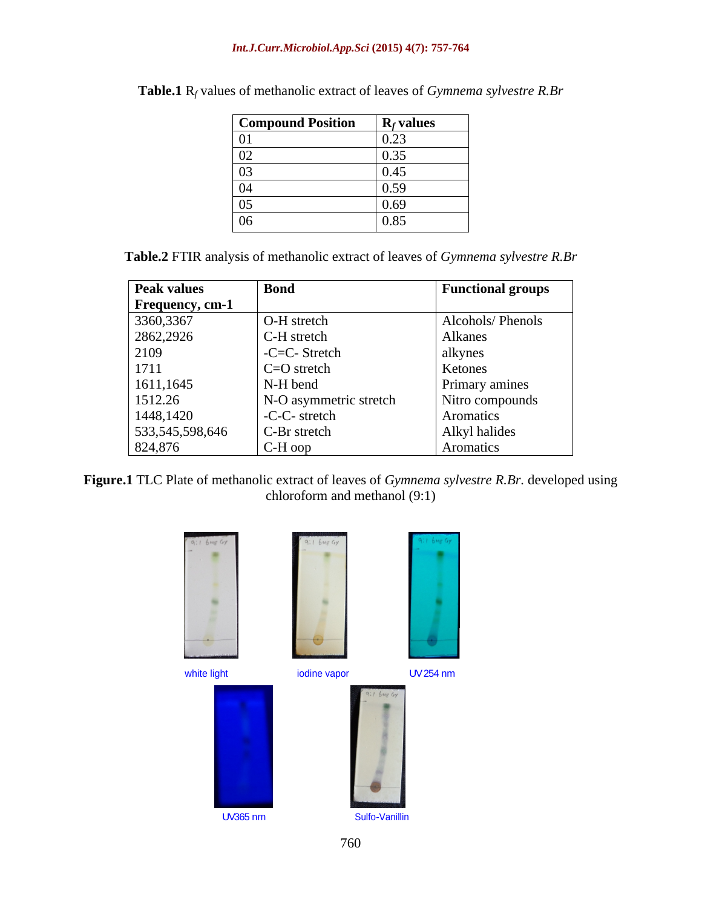### *Int.J.Curr.Microbiol.App.Sci* **(2015) 4(7): 757-764**

| <b>Compound Position</b> | $\mathbf{R}_f$ values |
|--------------------------|-----------------------|
| 01                       | 0.23                  |
| 02                       | 0.35                  |
| 03                       | 0.45                  |
| 04                       | 0.59                  |
| 05                       | 0.69                  |
| 06                       | 0.85                  |

| <b>Table.1</b> $R_f$ values of methanolic extract of leaves of <i>Gymnema sylvestre</i> $R.$ Br |  |
|-------------------------------------------------------------------------------------------------|--|
|-------------------------------------------------------------------------------------------------|--|

| <b>Table.2</b> FTIR analysis of methanolic extract of leaves of <i>Gymnema sylvestre R.Br</i> |  |  |
|-----------------------------------------------------------------------------------------------|--|--|
|                                                                                               |  |  |

| <b>Peak values</b>     | <b>Bond</b>            | <b>Functional groups</b> |
|------------------------|------------------------|--------------------------|
| <b>Frequency, cm-1</b> |                        |                          |
| 3360,3367              | O-H stretch            | Alcohols/Phenols         |
| 2862,2926              | C-H stretch            | Alkanes                  |
| 2109                   | -C=C- Stretch          | alkynes                  |
| 1711                   | $C=O$ stretch          | Ketones                  |
| 1611,1645              | N-H bend               | Primary amines           |
| 1512.26                | N-O asymmetric stretch | Nitro compounds          |
| 1448,1420              | -C-C- stretch          | Aromatics                |
| 533,545,598,646        | C-Br stretch           | Alkyl halides            |
| 824,876                | $C-H$ oop              | Aromatics                |

**Figure.1** TLC Plate of methanolic extract of leaves of *Gymnema sylvestre R.Br.* developed using chloroform and methanol (9:1)



760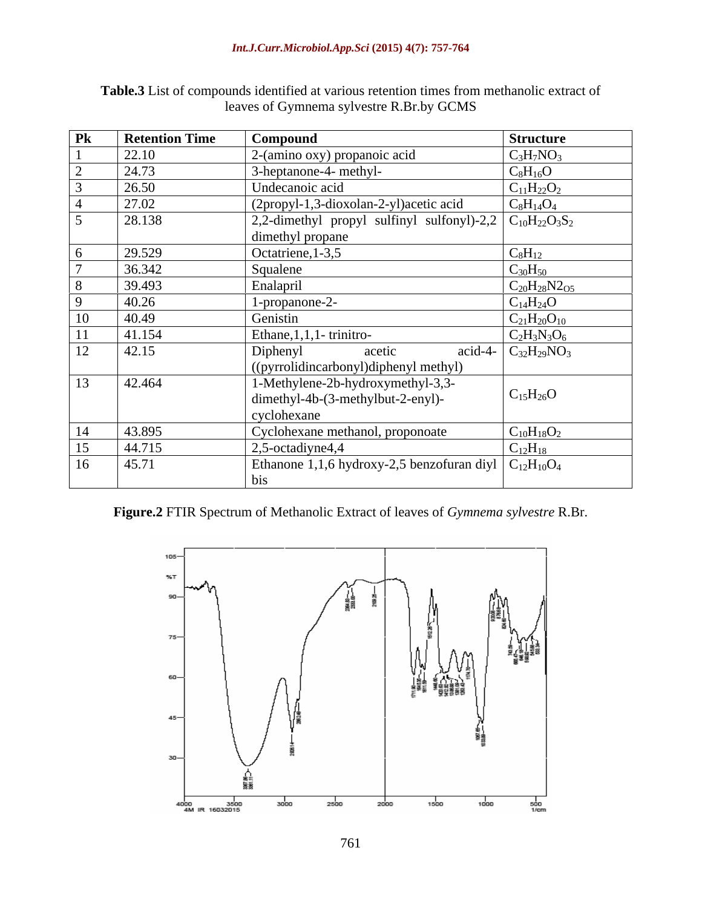| $\mathbf{P}\mathbf{k}$ | <b>Retention Time</b> | Compound                                                                                                        | <b>Structure</b>           |
|------------------------|-----------------------|-----------------------------------------------------------------------------------------------------------------|----------------------------|
|                        | 22.10                 | 2-(amino oxy) propanoic acid                                                                                    | $C_3H_7NO_3$               |
|                        | 24.73                 | 3-heptanone-4- methyl-                                                                                          | $\rm{C_8H_{16}O}$          |
|                        | 26.50                 | Undecanoic acid                                                                                                 | $C_{11}H_{22}O_2$          |
|                        | 27.02                 | (2propyl-1,3-dioxolan-2-yl)acetic acid                                                                          | $C_8H_{14}O_4$             |
|                        | 28.138                | 2,2-dimethyl propyl sulfinyl sulfonyl)-2,2 $\mid$ C <sub>10</sub> H <sub>22</sub> O <sub>3</sub> S <sub>2</sub> |                            |
|                        |                       | dimethyl propane                                                                                                |                            |
|                        | 29.529                | Octatriene, 1-3,5                                                                                               | $C_8H_{12}$                |
|                        | 36.342                | Squalene                                                                                                        | $C_{30}H_{50}$             |
|                        | 39.493                | Enalapril                                                                                                       | $C_{20}H_{28}N2_{O5}$      |
|                        | 40.26                 | 1-propanone-2-                                                                                                  | $C_{14}H_{24}O$            |
| 10                     | 40.49                 | Genistin                                                                                                        | $C_{21}H_{20}O_{10}$       |
|                        | 41.154                | Ethane, $1, 1, 1$ - trinitro-                                                                                   | $C_2H_3N_3O_6$             |
| 12                     | 42.15                 | Diphenyl<br>acetic<br>((pyrrolidincarbonyl)diphenyl methyl)                                                     | acid-4- $C_{32}H_{29}NO_3$ |
| 13                     | 42.464                | 1-Methylene-2b-hydroxymethyl-3,3-<br>dimethyl-4b-(3-methylbut-2-enyl)-<br>cyclohexane                           | $C_{15}H_{26}O$            |
| 14                     | 43.895                | Cyclohexane methanol, proponoate                                                                                | $C_{10}H_{18}O_2$          |
| 15                     | 44.715                | 2,5-octadiyne4,4                                                                                                | $C_{12}H_{18}$             |
| 16                     | 45.71                 | Ethanone 1,1,6 hydroxy-2,5 benzofuran diyl $C_{12}H_{10}O_4$                                                    |                            |
|                        |                       |                                                                                                                 |                            |

**Table.3** List of compounds identified at various retention times from methanolic extract of leaves of Gymnema sylvestre R.Br.by GCMS

## **Figure.2** FTIR Spectrum of Methanolic Extract of leaves of *Gymnema sylvestre* R.Br.

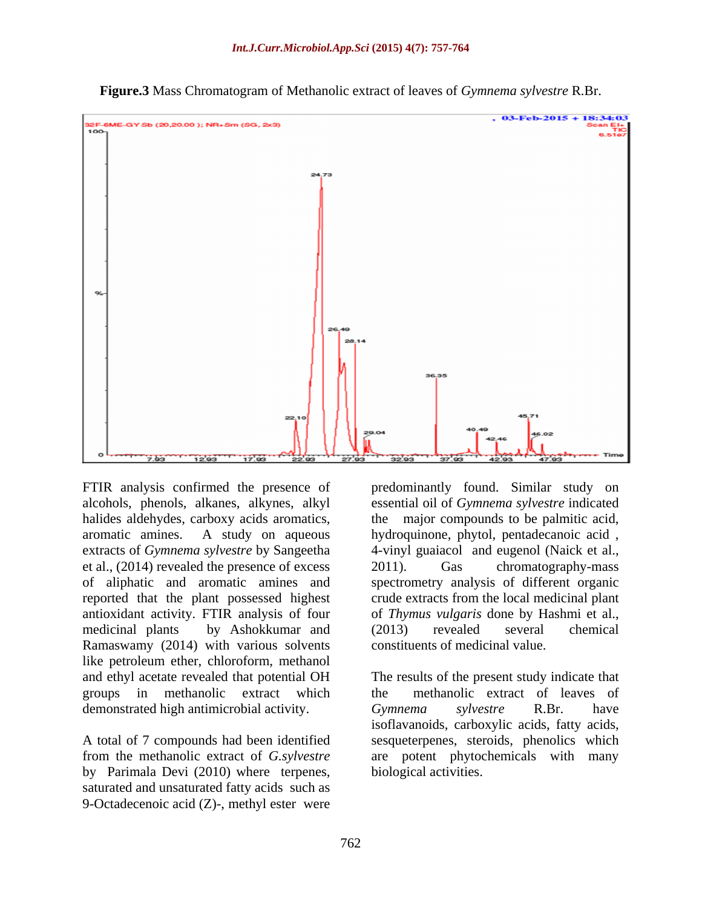

**Figure.3** Mass Chromatogram of Methanolic extract of leaves of *Gymnema sylvestre* R.Br.

et al., (2014) revealed the presence of excess antioxidant activity. FTIR analysis of four Ramaswamy (2014) with various solvents like petroleum ether, chloroform, methanol groups in methanolic extract which demonstrated high antimicrobial activity. Cymnema sylvestre R.Br. have

by Parimala Devi (2010) where terpenes, saturated and unsaturated fatty acids such as 9-Octadecenoic acid (Z)-, methyl ester were

FTIR analysis confirmed the presence of predominantly found. Similar study on alcohols, phenols, alkanes, alkynes, alkyl essential oil of *Gymnema sylvestre* indicated halides aldehydes, carboxy acids aromatics, the major compounds to be palmitic acid, aromatic amines. A study on aqueous hydroquinone, phytol, pentadecanoic acid , extracts of *Gymnema sylvestre* by Sangeetha 4-vinyl guaiacol and eugenol (Naick et al., of aliphatic and aromatic amines and spectrometry analysis of different organic reported that the plant possessed highest crude extracts from the local medicinal plant medicinal plants by Ashokkumar and chromatography-mass of *Thymus vulgaris* done by Hashmi et al., (2013) revealed several chemical constituents of medicinal value.

and ethyl acetate revealed that potential OH The results of the present study indicate that A total of 7 compounds had been identified sesqueterpenes, steroids, phenolics which from the methanolic extract of *G.sylvestre* are potent phytochemicals with many methanolic extract of leaves of *Gymnema sylvestre* R.Br. have isoflavanoids, carboxylic acids, fatty acids, biological activities.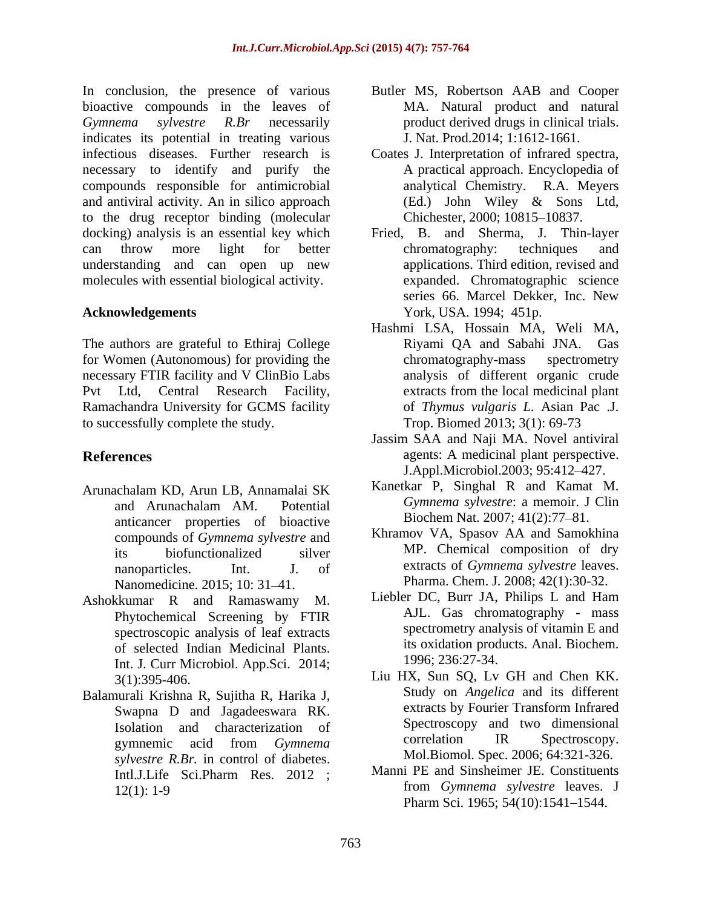In conclusion, the presence of various bioactive compounds in the leaves of *Gymnema sylvestre R.Br* necessarily product derived drugs in clinical trials. indicates its potential in treating various infectious diseases. Further research is Coates J. Interpretation of infrared spectra, necessary to identify and purify the compounds responsible for antimicrobial and antiviral activity. An in silico approach (Ed.) John Wiley & Sons Ltd, to the drug receptor binding (molecular docking) analysis is an essential key which Fried, B. and Sherma, J. Thin-layer can throw more light for better chromatography: techniques and understanding and can open up new molecules with essential biological activity.

The authors are grateful to Ethiraj College for Women (Autonomous) for providing the chromatography-mass spectrometry necessary FTIR facility and V ClinBio Labs Ramachandra University for GCMS facility to successfully complete the study.

- Arunachalam KD, Arun LB, Annamalai SK anticancer properties of bioactive compounds of *Gymnema sylvestre* and Nanomedicine. 2015; 10: 31–41.
- Ashokkumar R and Ramaswamy M. Phytochemical Screening by FTIR spectroscopic analysis of leaf extracts of selected Indian Medicinal Plants. Int. J. Curr Microbiol. App.Sci. 2014;
- Balamurali Krishna R, Sujitha R, Harika J,<br>Swanna D, and Jagadeewara RK extracts by Fourier Transform Infrared Swapna D and Jagadeeswara RK. *sylvestre R.Br.* in control of diabetes.
- Butler MS, Robertson AAB and Cooper MA. Natural product and natural J. Nat. Prod.2014; 1:1612-1661.
- A practical approach. Encyclopedia of analytical Chemistry. R.A. Meyers (Ed.) John Wiley & Sons Ltd, Chichester, 2000; 10815-10837.
- **Acknowledgements** York, USA. 1994; 451p. chromatography: techniques and applications. Third edition, revised and expanded. Chromatographic science series 66. Marcel Dekker, Inc. New
- Pvt Ltd, Central Research Facility, extracts from the local medicinal plant Hashmi LSA, Hossain MA, Weli MA, Riyami QA and Sabahi JNA. Gas chromatography-mass spectrometry analysis of different organic crude of *Thymus vulgaris L.* Asian Pac .J. Trop. Biomed 2013; 3(1): 69-73
- **References** agents: A medicinal plant perspective. Jassim SAA and Naji MA. Novel antiviral J.Appl.Microbiol.2003; 95:412 427.
	- and Arunachalam AM. Potential Gymnema sylvestre: a memoir. J Clin Kanetkar P, Singhal R and Kamat M. *Gymnema sylvestre*: a memoir. J Clin Biochem Nat. 2007; 41(2):77-81.
	- its biofunctionalized silver MP. Chemical composition of dry nanoparticles. Int. J. of extracts of *Gymnema sylvestre* leaves. Khramov VA, Spasov AA and Samokhina MP. Chemical composition of dry Pharma. Chem. J. 2008; 42(1):30-32.
		- Liebler DC, Burr JA, Philips L and Ham AJL. Gas chromatography - mass spectrometry analysis of vitamin E and its oxidation products. Anal. Biochem. 1996; 236:27-34.
	- 3(1):395-406. Liu HX, Sun SQ, Lv GH and Chen KK. Isolation and characterization of Spectroscopy and two dimensional gymnemic acid from *Gymnema*  Study on *Angelica* and its different extracts by Fourier Transform Infrared Spectroscopy and two dimensional correlation IR Spectroscopy. Mol.Biomol. Spec. 2006; 64:321-326.
	- Intl.J.Life Sci.Pharm Res. 2012 ; Manni PE and Sinsheimer J.E. Constituents 12(1): 1-9 **trom** Gymnema sylvestre leaves. J Manni PE and Sinsheimer JE. Constituents from *Gymnema sylvestre* leaves. J Pharm Sci. 1965; 54(10):1541-1544.